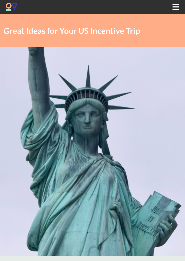



# **Great Ideas for Your US Incentive Trip**

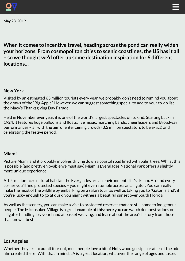

May 28, 2019



**When it comes to incentive travel, heading across the pond can really widen your horizons. From cosmopolitan cities to scenic coastlines,the US has it all – so we thought we'd offer up some destination inspiration for 6 different locations…**

# **New York**

Visited by an estimated 65 million tourists every year, we probably don't need to remind you about the draws of the "Big Apple". However, we can suggest something special to add to your to-do list – the Macy's Thanksgiving Day Parade.

Held in November ever year, it is one of the world's largest spectacles of its kind. Starting back in 1924, it features huge balloons and floats, live music, marching bands, cheerleaders and Broadway performances – all with the aim of entertaining crowds (3.5 million spectators to be exact) and celebrating the festive period.

## **Miami**

Picture Miami and it probably involves driving down a coastal road lined with palm trees. Whilst this is possible (and pretty enjoyable we must say) Miami's Everglades National Park offers a slightly more unique experience.

A 1.5-million-acre natural habitat, the Everglades are an environmentalist's dream. Around every corner you'll find protected species – you might even stumble across an alligator. You can really make the most of the wildlife by embarking on a safari tour; as well as taking you to "Gator Island", if you're lucky enough to go at dusk, you might witness a beautiful sunset over South Florida.

As well as the scenery, you can make a visit to protected reserves that are still home to indigenous people. The Miccosukee Village is a great example of this; here you can watch demonstrations on alligator handling, try your hand at basket weaving, and learn about the area's history from those that know it best.

#### **Los Angeles**

Whether they like to admit it or not, most people love a bit of Hollywood gossip – or at least the odd film created there! With that in mind, LA is a great location, whatever the range of ages and tastes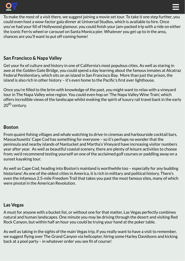



To make the most of a visit there, we suggest joining a movie set tour. To take it one step further, you could even host a wow-factor gala dinner at Universal Studios, which is available to hire. Once you've had your fill of Hollywood glamour, you could finish your jam-packed trip with a ride on either the iconic Ferris wheel or carousel on Santa Monica pier. Whatever you get up to in the area, chances are you'll want to put off coming home!

## **San Francisco & Napa Valley**

Get your fix of culture and history in one of California's most populous cities. As well as staring in awe at the Golden Gate Bridge, you could spend a day learning about the famous inmates at Alcatraz Federal Penitentiary, which sits on an island in San Francisco Bay. More than just the prison, the island is also rich in other history - it's even home to the Pacific's first ever lighthouse.

Once you're filled to the brim with knowledge of the past, you might want to relax with a vineyard tour in The Napa Valley wine region. You could even hop on 'The Napa Valley Wine Train', which offers incredible views of the landscape whilst evoking the spirit of luxury rail travel back in the early 20<sup>th</sup> century.

#### **Boston**

From quaint fishing villages and whale watching to drive-in cinemas and harbourside cocktail bars, Massachusetts' Cape Cod has something for everyone – so it's perhaps no wonder that the peninsula and nearby islands of Nantucket and Martha's Vineyard have increasing visitor numbers year after year. As well as beautiful coastal scenery, there are plenty of leisure activities to choose from; we'd recommend testing yourself on one of the acclaimed golf courses or paddling away on a sunset kayaking tour.

As well as Cape Cod, heading into Boston's mainland is worthwhile too – especially for any budding historians! As one of the oldest cities in America, it is rich in military and political history. There's even the infamous 2.5-mile Freedom Trail that takes you past the most famous sites, many of which were pivotal in the American Revolution.

#### **Las Vegas**

A must for anyone with a bucket list, or without one for that matter, Las Vegas perfectly combines natural and human landscapes. One minute you may be driving through the desert and visiting Red Rock Canyon, but within half an hour you could be trying your hand at the poker table.

As well as taking in the sights of the main Vegas trip, if you really want to have a visit to remember, we suggest flying over The Grand Canyon via helicopter, hiring some Harley Davidsons and kicking back at a pool party – in whatever order you see fit of course!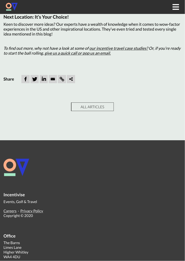



# **Next Location: It's Your Choice!**

Keen to discover more ideas? Our experts have a wealth of knowledge when it comes to wow-factor experiences in the US and other inspirational locations. They've even tried and tested every single idea mentioned in this blog!

To find out more, why not have a look at some of our [incentive](https://test.incentivise.co.uk/our-work/) travel case studies? Or, if you're ready to start the ball rolling, give us a [quick](https://test.incentivise.co.uk/contact/) call or pop us an email.





#### **Incentivise**

Events, Golf & Travel

[Careers](https://incentivise.co.uk/contact/#join-us) · [Privacy](https://incentivise.co.uk/gdpr) Policy Copyright © 2020

#### **Office**

The Barns Limes Lane Higher Whitley WA4 4DU